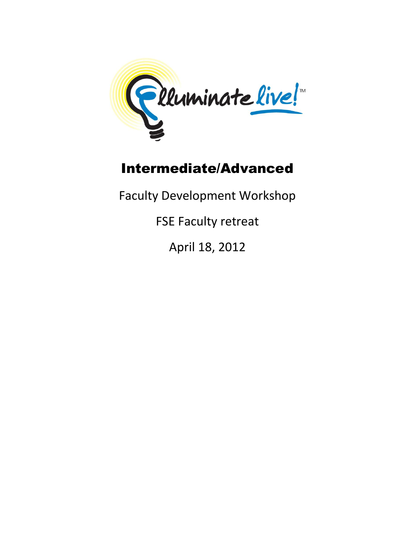

# Intermediate/Advanced

Faculty Development Workshop

FSE Faculty retreat

April 18, 2012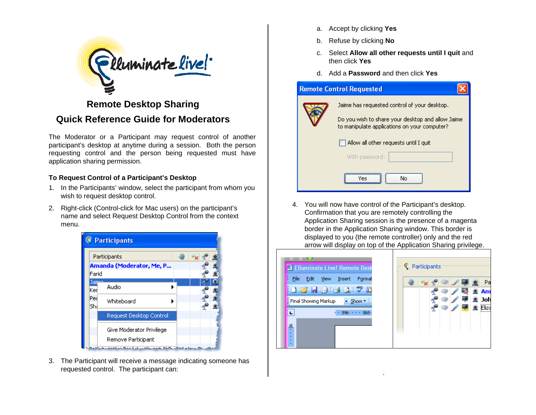

# **Remote Desktop Sharing Quick Reference Guide for Moderators**

The Moderator or a Participant may request control of another participant's desktop at anytime during a session. Both the person requesting control and the person being requested must have application sharing permission.

# **To Request Control of a Participant's Desktop**

- 1. In the Participants' window, select the participant from whom you wish to request desktop control.
- 2. Right-click (Control-click for Mac users) on the participant's name and select Request Desktop Control from the context menu.



3. The Participant will receive a message indicating someone has requested control. The participant can:

- a. Accept by clicking **Yes**
- b. Refuse by clicking **No**
- c. Select **Allow all other requests until I quit** and then click **Yes**
- d. Add a **Password** and then click **Yes**

| <b>Remote Control Requested</b>                                                                                                                   |
|---------------------------------------------------------------------------------------------------------------------------------------------------|
| Jaime has requested control of your desktop.<br>Do you wish to share your desktop and allow Jaime<br>to manipulate applications on your computer? |
| Allow all other requests until I quit<br>With password:                                                                                           |
| No<br>Ves                                                                                                                                         |

4. You will now have control of the Participant's desktop. Confirmation that you are remotely controlling the Application Sharing session is the presence of a magenta border in the Application Sharing window. This border is displayed to you (the remote controller) only and the red arrow will display on top of the Application Sharing privilege.



.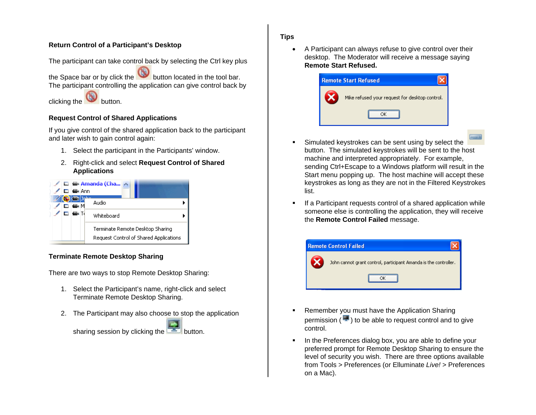## **Return Control of a Participant's Desktop**

The participant can take control back by selecting the Ctrl key plus

the Space bar or by click the button located in the tool bar. The participant controlling the application can give control back by

clicking the **button**.

## **Request Control of Shared Applications**

If you give control of the shared application back to the participant and later wish to gain control again:

- 1. Select the participant in the Participants' window.
- 2. Right-click and select **Request Control of Shared Applications**



# **Terminate Remote Desktop Sharing**

There are two ways to stop Remote Desktop Sharing:

- 1. Select the Participant's name, right-click and select Terminate Remote Desktop Sharing.
- 2. The Participant may also choose to stop the application

sharing session by clicking the **button**.

### **Tips**

 A Participant can always refuse to give control over their desktop. The Moderator will receive a message saying **Remote Start Refused.**

| <b>Remote Start Refused</b>                    |
|------------------------------------------------|
| Mike refused your request for desktop control. |
|                                                |

- Simulated keystrokes can be sent using by select the button. The simulated keystrokes will be sent to the host machine and interpreted appropriately. For example, sending Ctrl+Escape to a Windows platform will result in the Start menu popping up. The host machine will accept these keystrokes as long as they are not in the Filtered Keystrokes list.
- If a Participant requests control of a shared application while someone else is controlling the application, they will receive the **Remote Control Failed** message.



- Remember you must have the Application Sharing permission  $($  $\blacksquare$ ) to be able to request control and to give control.
- In the Preferences dialog box, you are able to define your preferred prompt for Remote Desktop Sharing to ensure the level of security you wish. There are three options available from Tools > Preferences (or Elluminate *Live!* > Preferences on a Mac).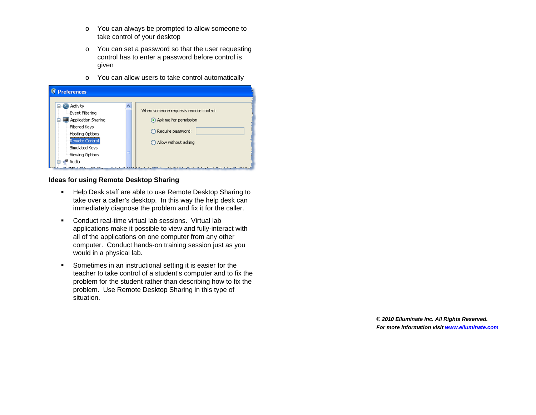- <sup>o</sup> You can always be prompted to allow someone to take control of your desktop
- <sup>o</sup> You can set a password so that the user requesting control has to enter a password before control is given
- <sup>o</sup> You can allow users to take control automatically

| <b>Preferences</b><br>Activity                                          |                                                                                            |
|-------------------------------------------------------------------------|--------------------------------------------------------------------------------------------|
| <b>Event Filtering</b>                                                  | When someone requests remote control:                                                      |
| Application Sharing                                                     | Ask me for permission                                                                      |
| ---Filtered Keys                                                        |                                                                                            |
| -Hosting Options                                                        | Require password:                                                                          |
| Remote Control                                                          | Allow without asking                                                                       |
| ---Simulated Keys                                                       |                                                                                            |
| —Viewing Options                                                        |                                                                                            |
| Audio                                                                   |                                                                                            |
| وتقريبه ويتقرئ والمكافح والمستعرض والمتار ومستوركا الكافي سيوقع أنقرتكم | the common who will be a set of the common and common and common and common and common and |

#### **Ideas for using Remote Desktop Sharing**

- **Help Desk staff are able to use Remote Desktop Sharing to** take over a caller's desktop. In this way the help desk can immediately diagnose the problem and fix it for the caller.
- Conduct real-time virtual lab sessions. Virtual lab applications make it possible to view and fully-interact with all of the applications on one computer from any other computer. Conduct hands-on training session just as you would in a physical lab.
- Sometimes in an instructional setting it is easier for the teacher to take control of a student's computer and to fix the problem for the student rather than describing how to fix the problem. Use Remote Desktop Sharing in this type of situation.

**©** *2010 Elluminate Inc. All Rights Reserved. For more information visit www.elluminate.com*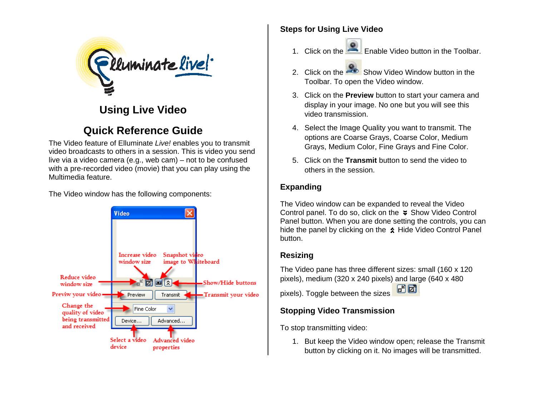

# **Using Live Video**

# **Quick Reference Guide**

The Video feature of Elluminate *Live!* enables you to transmit video broadcasts to others in a session. This is video you send live via a video camera (e.g., web cam) – not to be confused with a pre-recorded video (movie) that you can play using the Multimedia feature.

The Video window has the following components:



# **Steps for Using Live Video**

- 1. Click on the  $\Box$  Enable Video button in the Toolbar.
- 2. Click on the Show Video Window button in the Toolbar. To open the Video window.
- 3. Click on the **Preview** button to start your camera and display in your image. No one but you will see this video transmission.
- 4. Select the Image Quality you want to transmit. The options are Coarse Grays, Coarse Color, Medium Grays, Medium Color, Fine Grays and Fine Color.
- 5. Click on the **Transmit** button to send the video to others in the session.

# **Expanding**

The Video window can be expanded to reveal the Video Control panel. To do so, click on the  $\ast$  Show Video Control Panel button. When you are done setting the controls, you can hide the panel by clicking on the  $\hat{\lambda}$  Hide Video Control Panel button.

# **Resizing**

The Video pane has three different sizes: small (160 x 120 pixels), medium (320 x 240 pixels) and large (640 x 480

子团 pixels). Toggle between the sizes

# **Stopping Video Transmission**

To stop transmitting video:

1. But keep the Video window open; release the Transmit button by clicking on it. No images will be transmitted.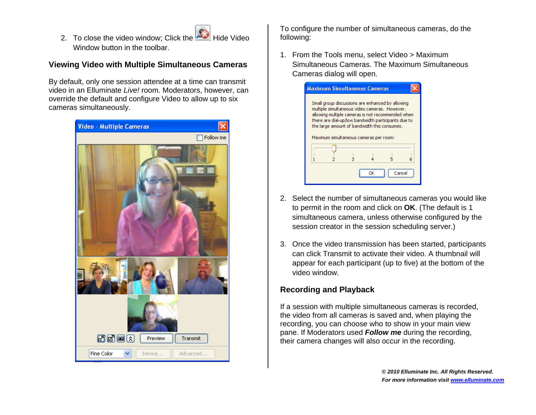2. To close the video window; Click the Hide Video Window button in the toolbar.

# **Viewing Video with Multiple Simultaneous Cameras**

By default, only one session attendee at a time can transmit video in an Elluminate *Live!* room. Moderators, however, can override the default and configure Video to allow up to six cameras simultaneously.



To configure the number of simultaneous cameras, do the following:

1. From the Tools menu, select Video > Maximum Simultaneous Cameras. The Maximum Simultaneous Cameras dialog will open.

| <b>Maximum Simultaneous Cameras</b> |                                        |                                                                                                                                                                                                                                                               |        |
|-------------------------------------|----------------------------------------|---------------------------------------------------------------------------------------------------------------------------------------------------------------------------------------------------------------------------------------------------------------|--------|
|                                     | Maximum simultaneous cameras per room: | Small group discussions are enhanced by allowing<br>multiple simultaneous video cameras. However,<br>allowing multiple cameras is not recommended when<br>there are dial-up/low bandwidth participants due to<br>the large amount of bandwidth this consumes. |        |
|                                     |                                        |                                                                                                                                                                                                                                                               | Cancel |

- 2. Select the number of simultaneous cameras you would like to permit in the room and click on **OK**. (The default is 1 simultaneous camera, unless otherwise configured by the session creator in the session scheduling server.)
- 3. Once the video transmission has been started, participants can click Transmit to activate their video. A thumbnail will appear for each participant (up to five) at the bottom of the video window.

# **Recording and Playback**

If a session with multiple simultaneous cameras is recorded, the video from all cameras is saved and, when playing the recording, you can choose who to show in your main view pane. If Moderators used *Follow me* during the recording, their camera changes will also occur in the recording.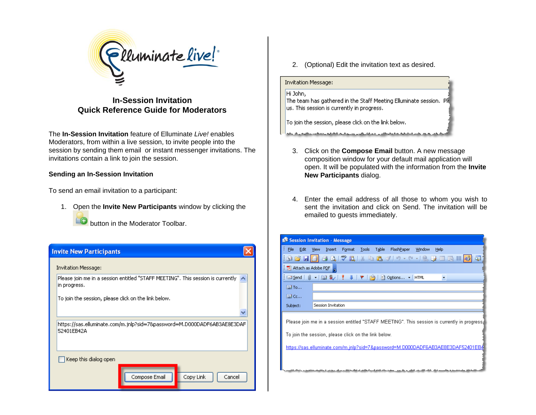

**In-Session Invitation Quick Reference Guide for Moderators** 

The **In-Session Invitation** feature of Elluminate *Live!* enables Moderators, from within a live session, to invite people into the session by sending them email or instant messenger invitations. The invitations contain a link to join the session.

### **Sending an In-Session Invitation**

To send an email invitation to a participant:

1. Open the **Invite New Participants** window by clicking the button in the Moderator Toolbar.

# **Invite New Participants**

Invitation Message:

Please join me in a session entitled "STAFF MEETING". This session is currently  $\sim$ in progress.

To join the session, please click on the link below.

https://sas.elluminate.com/m.jnlp?sid=7&password=M.D000DADF6AB3AE8E3DAF| 52401EB42A

Compose Email

Copy Link

Cancel

Keep this dialog open

2. (Optional) Edit the invitation text as desired.

#### **Invitation Message:**

#### Hi John,

 $\times$ 

The team has gathered in the Staff Meeting Elluminate session. Ple us. This session is currently in progress.

To join the session, please click on the link below.

- 3. Click on the **Compose Email** button. A new message composition window for your default mail application will open. It will be populated with the information from the **Invite New Participants** dialog.
- 4. Enter the email address of all those to whom you wish to sent the invitation and click on Send. The invitation will be emailed to guests immediately.

|                                   | Session Invitation - Message                                                                                                                                                                                                                                                                                                                                                                                                                                                                                                               |
|-----------------------------------|--------------------------------------------------------------------------------------------------------------------------------------------------------------------------------------------------------------------------------------------------------------------------------------------------------------------------------------------------------------------------------------------------------------------------------------------------------------------------------------------------------------------------------------------|
| : File<br>Edit                    | Tools<br>Table FlashPaper<br>Window<br>Insert<br>Format<br>Help<br>View                                                                                                                                                                                                                                                                                                                                                                                                                                                                    |
|                                   | }GB <mark>B</mark> BBQIVKN}&B∢I9·P· QBEBE <mark>4</mark>                                                                                                                                                                                                                                                                                                                                                                                                                                                                                   |
| $\frac{1}{2}$ Attach as Adobe PDF |                                                                                                                                                                                                                                                                                                                                                                                                                                                                                                                                            |
| ∰⊟ Send                           | $\begin{array}{c c c c c c c} \hline \multicolumn{3}{c }{0} & \multicolumn{3}{c }{0} & \multicolumn{3}{c }{\mathbf{3}} & \multicolumn{3}{c }{\mathbf{8}} & \multicolumn{3}{c }{\mathbf{9}} & \multicolumn{3}{c }{\mathbf{1}} & \multicolumn{3}{c }{\mathbf{1}} & \multicolumn{3}{c }{\mathbf{1}} & \multicolumn{3}{c }{\mathbf{1}} & \multicolumn{3}{c }{\mathbf{1}} & \multicolumn{3}{c }{\mathbf{1}} & \multicolumn{3}{c }{\mathbf{1}} & \mult$<br>$\left \frac{1}{2}\right $ Options $\left \bullet\right $ HTML<br><b>Design</b><br>۰. |
| 图 To                              |                                                                                                                                                                                                                                                                                                                                                                                                                                                                                                                                            |
| <b>ELE</b> Cc                     |                                                                                                                                                                                                                                                                                                                                                                                                                                                                                                                                            |
| Subject:                          | Session Invitation                                                                                                                                                                                                                                                                                                                                                                                                                                                                                                                         |
|                                   | Please join me in a session entitled "STAFF MEETING". This session is currently in progress.                                                                                                                                                                                                                                                                                                                                                                                                                                               |
|                                   | To join the session, please click on the link below.                                                                                                                                                                                                                                                                                                                                                                                                                                                                                       |
|                                   | https://sas.elluminate.com/m.jnlp?sid=7&password=M.D000DADF6AB3AE8E3DAF52401EB4                                                                                                                                                                                                                                                                                                                                                                                                                                                            |
|                                   |                                                                                                                                                                                                                                                                                                                                                                                                                                                                                                                                            |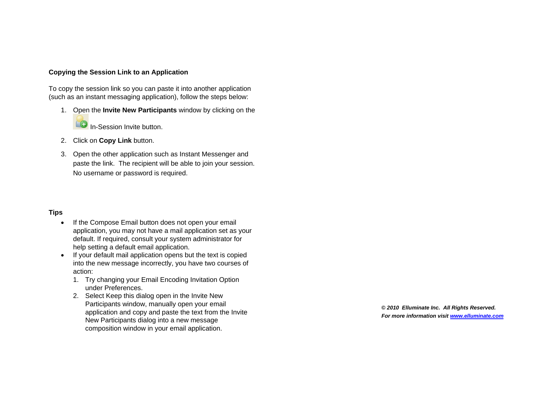#### **Copying the Session Link to an Application**

To copy the session link so you can paste it into another application (such as an instant messaging application), follow the steps below:

- 1. Open the **Invite New Participants** window by clicking on the In-Session Invite button.
- 2. Click on **Copy Link** button.
- 3. Open the other application such as Instant Messenger and paste the link. The recipient will be able to join your session. No username or password is required.

#### **Tips**

- If the Compose Email button does not open your email application, you may not have a mail application set as your default. If required, consult your system administrator for help setting a default email application.
- If your default mail application opens but the text is copied into the new message incorrectly, you have two courses of action:
	- 1. Try changing your Email Encoding Invitation Option under Preferences.
	- 2. Select Keep this dialog open in the Invite New Participants window, manually open your email application and copy and paste the text from the Invite New Participants dialog into a new message composition window in your email application.

**©** *2010 Elluminate Inc. All Rights Reserved. For more information visit www.elluminate.com*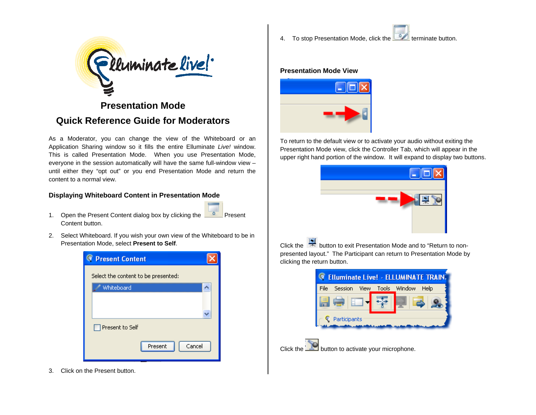

# **Presentation Mode Quick Reference Guide for Moderators**

As a Moderator, you can change the view of the Whiteboard or an Application Sharing window so it fills the entire Elluminate *Live!* window. This is called Presentation Mode. When you use Presentation Mode, everyone in the session automatically will have the same full-window view – until either they "opt out" or you end Presentation Mode and return the content to a normal view.

### **Displaying Whiteboard Content in Presentation Mode**

- 1. Open the Present Content dialog box by clicking the Content button.
- 2. Select Whiteboard. If you wish your own view of the Whiteboard to be in Presentation Mode, select **Present to Self**.



3. Click on the Present button.

4. To stop Presentation Mode, click the **the terminate button**.

#### **Presentation Mode View**



To return to the default view or to activate your audio without exiting the Presentation Mode view, click the Controller Tab, which will appear in the upper right hand portion of the window. It will expand to display two buttons.



Click the button to exit Presentation Mode and to "Return to nonpresented layout." The Participant can return to Presentation Mode by clicking the return button.



Click the **button to activate your microphone.**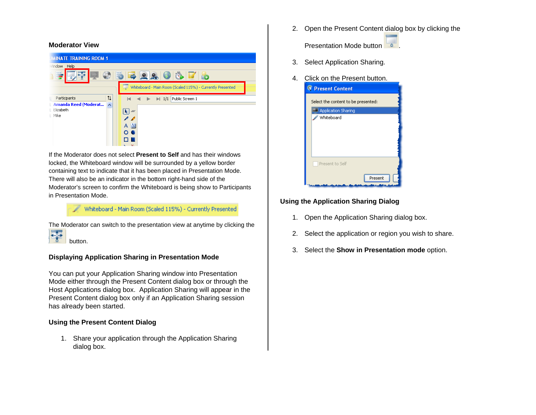#### **Moderator View**



If the Moderator does not select **Present to Self** and has their windows locked, the Whiteboard window will be surrounded by a yellow border containing text to indicate that it has been placed in Presentation Mode. There will also be an indicator in the bottom right-hand side of the Moderator's screen to confirm the Whiteboard is being show to Participants in Presentation Mode.

## Whiteboard - Main Room (Scaled 115%) - Currently Presented

The Moderator can switch to the presentation view at anytime by clicking the 零 button.

### **Displaying Application Sharing in Presentation Mode**

You can put your Application Sharing window into Presentation Mode either through the Present Content dialog box or through the Host Applications dialog box. Application Sharing will appear in the Present Content dialog box only if an Application Sharing session has already been started.

#### **Using the Present Content Dialog**

1. Share your application through the Application Sharing dialog box.

2. Open the Present Content dialog box by clicking the

Presentation Mode button .

- 3. Select Application Sharing.
- 4. Click on the Present button.



### **Using the Application Sharing Dialog**

- 1. Open the Application Sharing dialog box.
- 2. Select the application or region you wish to share.
- 3. Select the **Show in Presentation mode** option.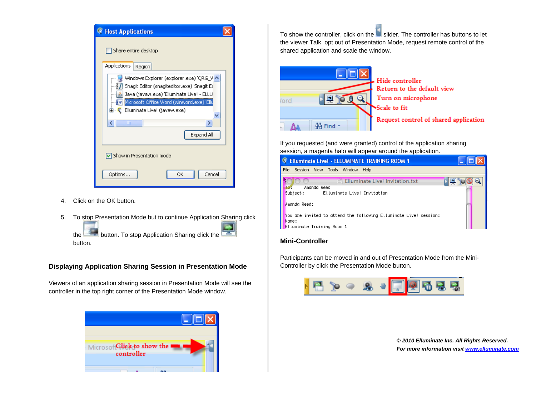| <b>Host Applications</b>                                                                                                           |  |
|------------------------------------------------------------------------------------------------------------------------------------|--|
| Share entire desktop                                                                                                               |  |
| <b>Applications</b><br>Region                                                                                                      |  |
| Windows Explorer (explorer.exe) 'QRG_V<br>Snagit Editor (snagiteditor.exe) 'Snagit Ed<br>Java (javaw.exe) 'Elluminate Live! - ELLU |  |
| W Microsoft Office Word (winword.exe) 'Ellu                                                                                        |  |
| Elluminate Live! (javaw.exe)<br>⊞ €                                                                                                |  |
| ><br>TITL                                                                                                                          |  |
| Expand All                                                                                                                         |  |
| $\vert\!\!\downarrow\!\!\vert$ Show in Presentation mode                                                                           |  |
| Cancel<br>Options<br>ΟK                                                                                                            |  |

- 4. Click on the OK button.
- 5. To stop Presentation Mode but to continue Application Sharing click the **button.** To stop Application Sharing click the button.

#### **Displaying Application Sharing Session in Presentation Mode**

Viewers of an application sharing session in Presentation Mode will see the controller in the top right corner of the Presentation Mode window.



To show the controller, click on the slider. The controller has buttons to let the viewer Talk, opt out of Presentation Mode, request remote control of the shared application and scale the window.



If you requested (and were granted) control of the application sharing session, a magenta halo will appear around the application.

| <b>Elluminate Live! - ELLUMINATE TRAINING ROOM 1</b>                                                                                                                                                                         |  |
|------------------------------------------------------------------------------------------------------------------------------------------------------------------------------------------------------------------------------|--|
| File<br>View Tools Window<br>Help<br>Session                                                                                                                                                                                 |  |
| Elluminate Live! Invitation.txt<br>Amanda Reed<br>Subject:<br>Elluminate Live! Invitation<br>Amanda Reed:<br>You are invited to attend the following Elluminate Live! session:<br>Name:<br><b>Elluminate Training Room 1</b> |  |

#### **Mini-Controller**

Participants can be moved in and out of Presentation Mode from the Mini-Controller by click the Presentation Mode button.



**©** *2010 Elluminate Inc. All Rights Reserved. For more information visit www.elluminate.com*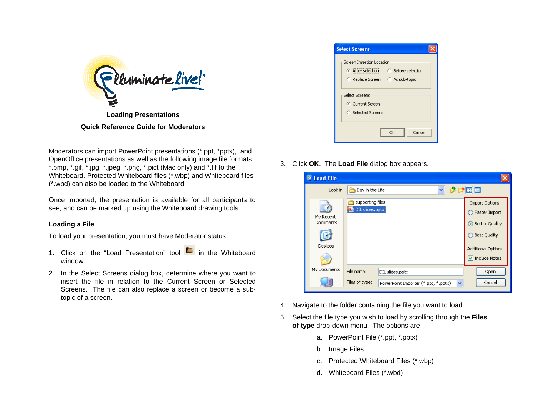

**Quick Reference Guide for Moderators** 

Moderators can import PowerPoint presentations (\*.ppt, \*pptx), and OpenOffice presentations as well as the following image file formats \*.bmp, \*.gif, \*.jpg, \*.jpeg, \*.png, \*.pict (Mac only) and \*.tif to the Whiteboard. Protected Whiteboard files (\*.wbp) and Whiteboard files (\*.wbd) can also be loaded to the Whiteboard.

Once imported, the presentation is available for all participants to see, and can be marked up using the Whiteboard drawing tools.

# **Loading a File**

To load your presentation, you must have Moderator status.

- 1. Click on the "Load Presentation" tool **in** in the Whiteboard window.
- 2. In the Select Screens dialog box, determine where you want to insert the file in relation to the Current Screen or Selected Screens. The file can also replace a screen or become a subtopic of a screen.

| <b>Select Screens</b>                                                                              |              |
|----------------------------------------------------------------------------------------------------|--------------|
| Screen Insertion Location<br>After selection C Before selection<br>C Replace Screen C As sub-topic |              |
| Select Screens<br>C Current Screen<br><b>C</b> Selected Screens                                    |              |
|                                                                                                    | Cancel<br>OK |

3. Click **OK**. The **Load File** dialog box appears.

| <b>Load File</b><br>G |                                                                       |                       |
|-----------------------|-----------------------------------------------------------------------|-----------------------|
| Look in:              | v<br>Day in the Life                                                  | 田屋                    |
|                       | supporting files                                                      | <b>Import Options</b> |
| My Recent             | DIL slides.pptx                                                       | Faster Import         |
| <b>Documents</b>      |                                                                       | <b>Better Quality</b> |
|                       |                                                                       | ◯ Best Quality        |
| Desktop               |                                                                       | Additional Options    |
|                       |                                                                       | Include Notes         |
| My Documents          | File name:<br>DIL slides.pptx                                         | Open                  |
|                       | Files of type:<br>PowerPoint Importer (*.ppt, *.pptx)<br>$\checkmark$ | Cancel                |

- 4. Navigate to the folder containing the file you want to load.
- 5. Select the file type you wish to load by scrolling through the **Files of type** drop-down menu. The options are
	- a. PowerPoint File (\*.ppt, \*.pptx)
	- b. Image Files
	- c. Protected Whiteboard Files (\*.wbp)
	- d. Whiteboard Files (\*.wbd)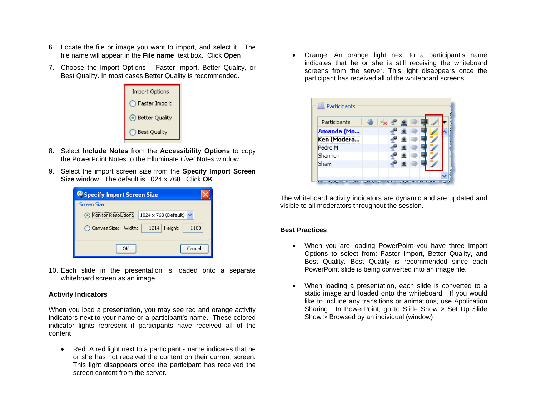- 6. Locate the file or image you want to import, and select it. The file name will appear in the **File name**: text box. Click **Open**.
- 7. Choose the Import Options Faster Import, Better Quality, or Best Quality. In most cases Better Quality is recommended.



- 8. Select **Include Notes** from the **Accessibility Options** to copy the PowerPoint Notes to the Elluminate *Live!* Notes window.
- 9. Select the import screen size from the **Specify Import Screen Size** window. The default is 1024 x 768. Click **OK**.

| <b>Q Specify Import Screen Size</b>                |
|----------------------------------------------------|
| Screen Size                                        |
| Monitor Resolution:<br>1024 x 768 (Default) $\vee$ |
| Height:<br>◯ Canvas Size: Width:<br>1214<br>1103   |
| Cancel<br>ОΚ                                       |

10. Each slide in the presentation is loaded onto a separate whiteboard screen as an image.

#### **Activity Indicators**

When you load a presentation, you may see red and orange activity indicators next to your name or a participant's name. These colored indicator lights represent if participants have received all of the content

• Red: A red light next to a participant's name indicates that he or she has not received the content on their current screen. This light disappears once the participant has received the screen content from the server.

 Orange: An orange light next to a participant's name indicates that he or she is still receiving the whiteboard screens from the server. This light disappears once the participant has received all of the whiteboard screens.

| Participants | ₩Yx 4 |  |  |  |
|--------------|-------|--|--|--|
| Amanda (Mo   |       |  |  |  |
| Ken (Modera  |       |  |  |  |
| Pedro M      |       |  |  |  |
| Shannon      |       |  |  |  |
| Sharri       |       |  |  |  |

The whiteboard activity indicators are dynamic and are updated and visible to all moderators throughout the session.

#### **Best Practices**

- When you are loading PowerPoint you have three Import Options to select from: Faster Import, Better Quality, and Best Quality. Best Quality is recommended since each PowerPoint slide is being converted into an image file.
- When loading a presentation, each slide is converted to a static image and loaded onto the whiteboard. If you would like to include any transitions or animations, use Application Sharing. In PowerPoint, go to Slide Show > Set Up Slide Show > Browsed by an individual (window)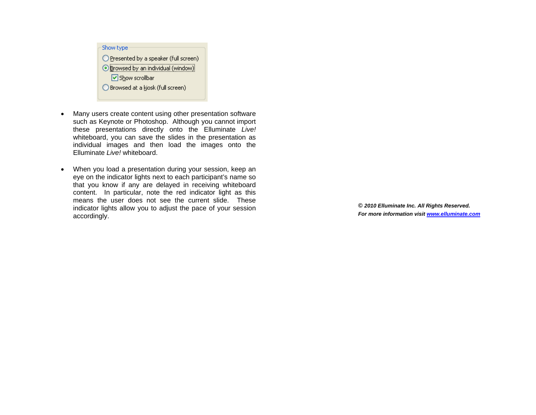

- Many users create content using other presentation software such as Keynote or Photoshop. Although you cannot import these presentations directly onto the Elluminate *Live!*  whiteboard, you can save the slides in the presentation as individual images and then load the images onto the Elluminate *Live!* whiteboard.
- When you load a presentation during your session, keep an eye on the indicator lights next to each participant's name so that you know if any are delayed in receiving whiteboard content. In particular, note the red indicator light as this means the user does not see the current slide. These indicator lights allow you to adjust the pace of your session accordingly.

**©** *2010 Elluminate Inc. All Rights Reserved. For more information visit www.elluminate.com*